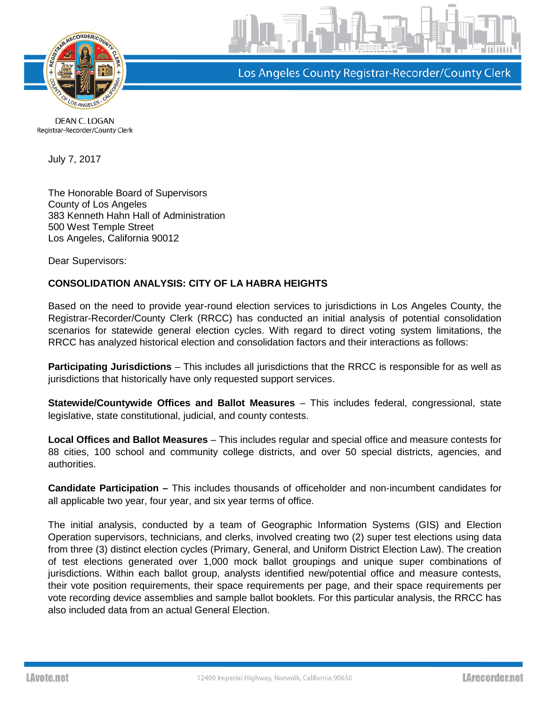

Los Angeles County Registrar-Recorder/County Clerk

DEAN C. LOGAN Registrar-Recorder/County Clerk

July 7, 2017

The Honorable Board of Supervisors County of Los Angeles 383 Kenneth Hahn Hall of Administration 500 West Temple Street Los Angeles, California 90012

Dear Supervisors:

## **CONSOLIDATION ANALYSIS: CITY OF LA HABRA HEIGHTS**

Based on the need to provide year-round election services to jurisdictions in Los Angeles County, the Registrar-Recorder/County Clerk (RRCC) has conducted an initial analysis of potential consolidation scenarios for statewide general election cycles. With regard to direct voting system limitations, the RRCC has analyzed historical election and consolidation factors and their interactions as follows:

**Participating Jurisdictions** – This includes all jurisdictions that the RRCC is responsible for as well as jurisdictions that historically have only requested support services.

**Statewide/Countywide Offices and Ballot Measures** – This includes federal, congressional, state legislative, state constitutional, judicial, and county contests.

**Local Offices and Ballot Measures** – This includes regular and special office and measure contests for 88 cities, 100 school and community college districts, and over 50 special districts, agencies, and authorities.

**Candidate Participation –** This includes thousands of officeholder and non-incumbent candidates for all applicable two year, four year, and six year terms of office.

The initial analysis, conducted by a team of Geographic Information Systems (GIS) and Election Operation supervisors, technicians, and clerks, involved creating two (2) super test elections using data from three (3) distinct election cycles (Primary, General, and Uniform District Election Law). The creation of test elections generated over 1,000 mock ballot groupings and unique super combinations of jurisdictions. Within each ballot group, analysts identified new/potential office and measure contests, their vote position requirements, their space requirements per page, and their space requirements per vote recording device assemblies and sample ballot booklets. For this particular analysis, the RRCC has also included data from an actual General Election.